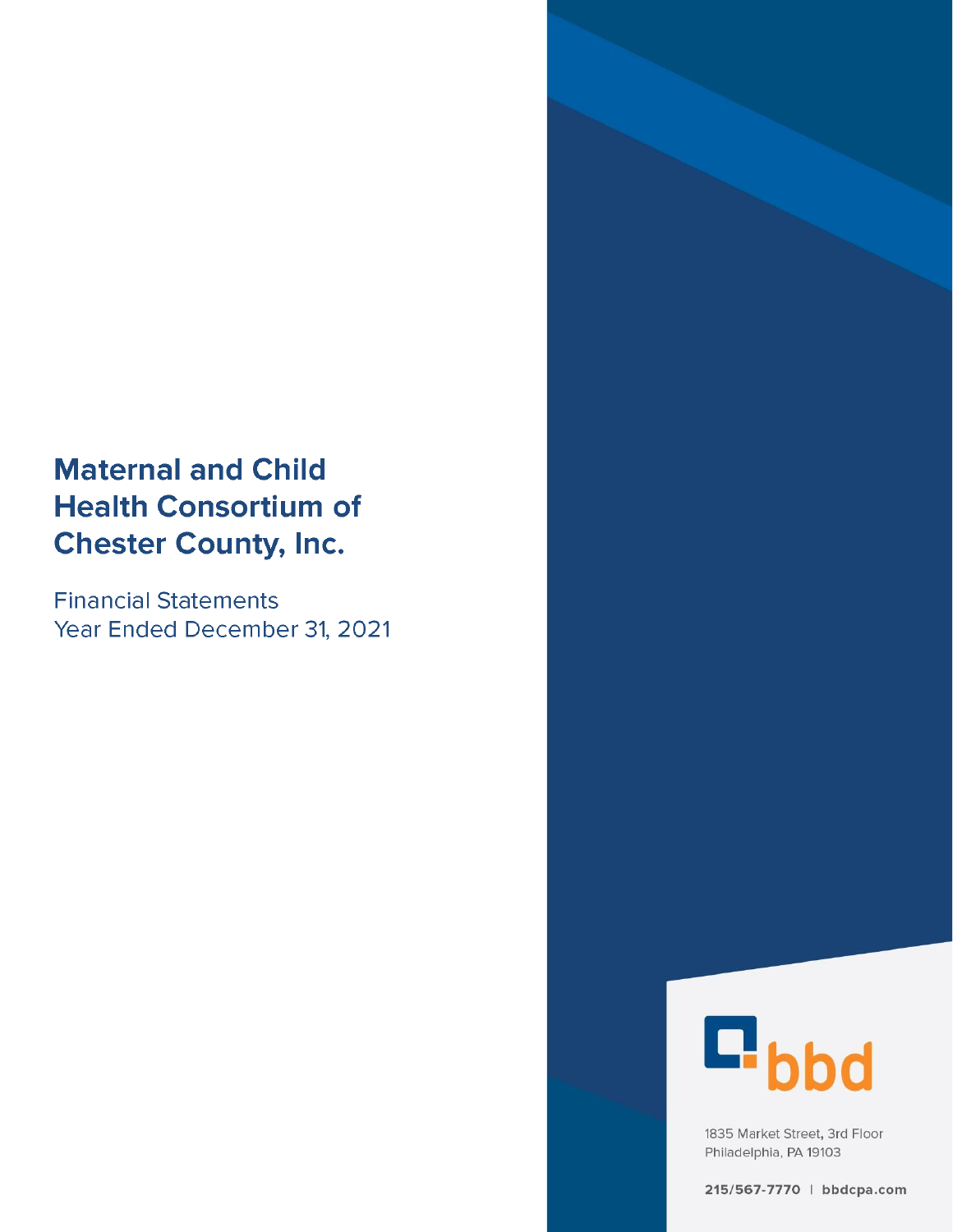# **Maternal and Child Health Consortium of Chester County, Inc.**

**Financial Statements** Year Ended December 31, 2021



1835 Market Street, 3rd Floor Philadelphia, PA 19103

215/567-7770 | bbdcpa.com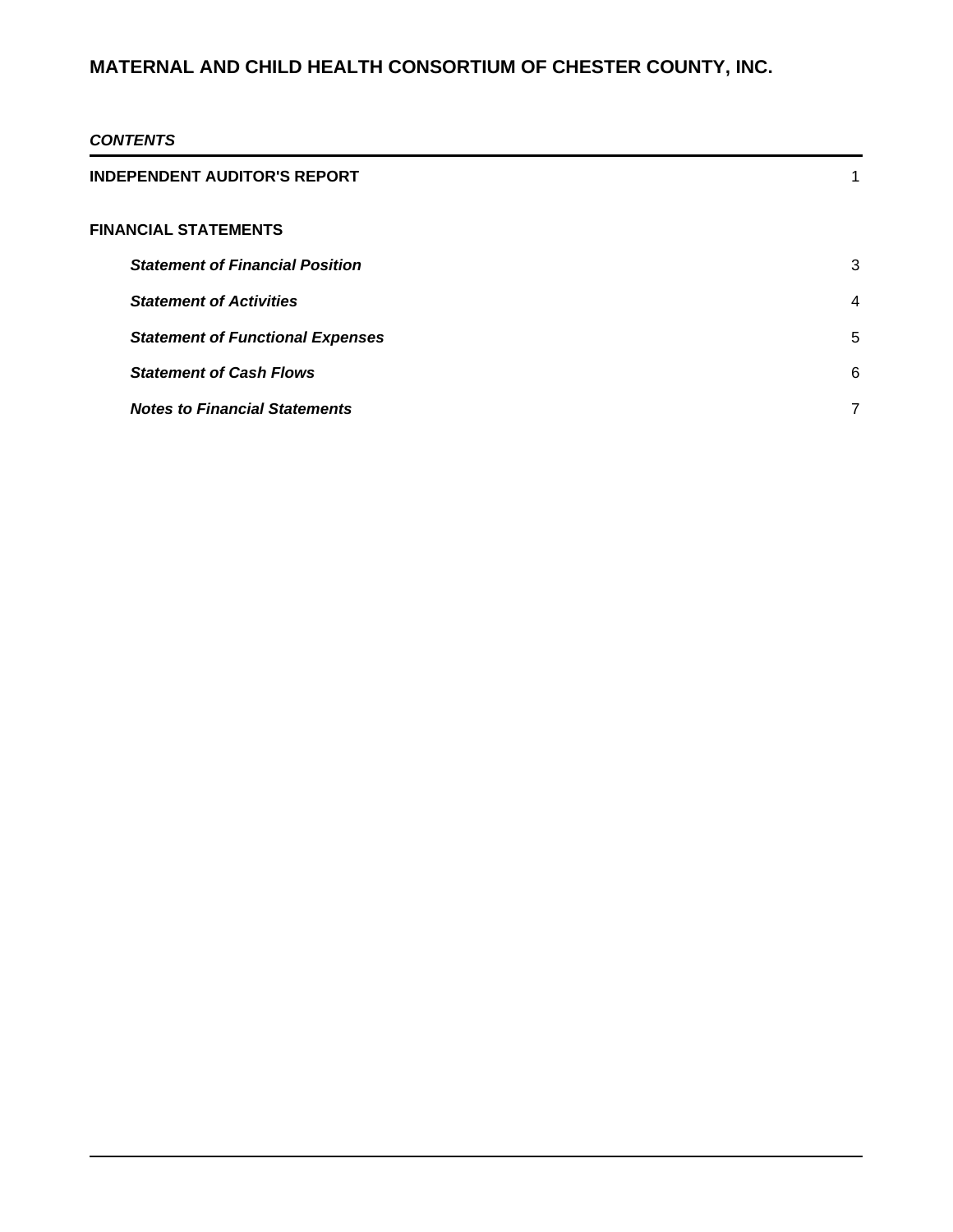### *CONTENTS*

| <b>INDEPENDENT AUDITOR'S REPORT</b>     | 1 |
|-----------------------------------------|---|
| <b>FINANCIAL STATEMENTS</b>             |   |
| <b>Statement of Financial Position</b>  | 3 |
| <b>Statement of Activities</b>          | 4 |
| <b>Statement of Functional Expenses</b> | 5 |
| <b>Statement of Cash Flows</b>          | 6 |
| <b>Notes to Financial Statements</b>    | 7 |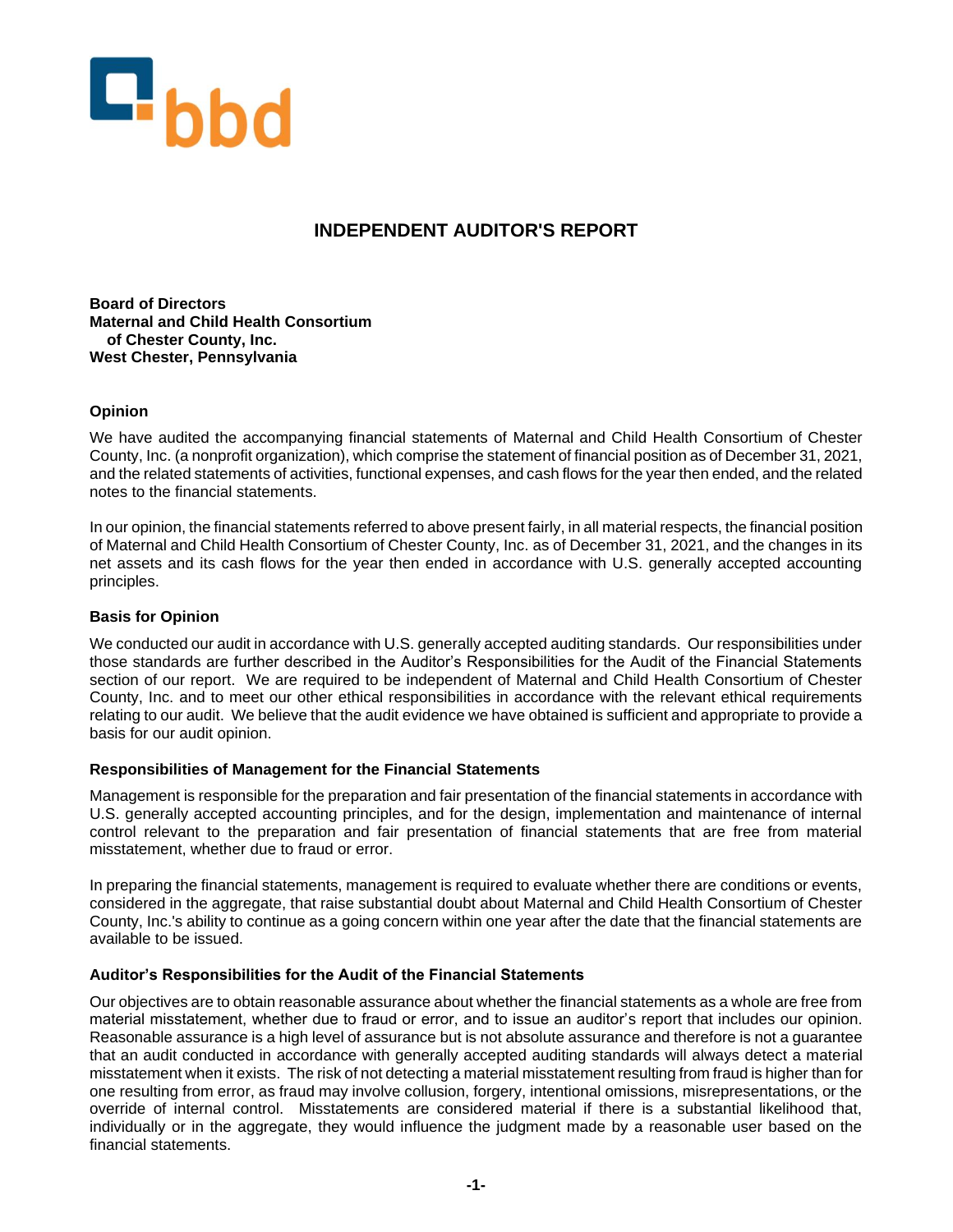

### **INDEPENDENT AUDITOR'S REPORT**

**Board of Directors Maternal and Child Health Consortium of Chester County, Inc. West Chester, Pennsylvania**

### **Opinion**

We have audited the accompanying financial statements of Maternal and Child Health Consortium of Chester County, Inc. (a nonprofit organization), which comprise the statement of financial position as of December 31, 2021, and the related statements of activities, functional expenses, and cash flows for the year then ended, and the related notes to the financial statements.

In our opinion, the financial statements referred to above present fairly, in all material respects, the financial position of Maternal and Child Health Consortium of Chester County, Inc. as of December 31, 2021, and the changes in its net assets and its cash flows for the year then ended in accordance with U.S. generally accepted accounting principles.

### **Basis for Opinion**

We conducted our audit in accordance with U.S. generally accepted auditing standards. Our responsibilities under those standards are further described in the Auditor's Responsibilities for the Audit of the Financial Statements section of our report. We are required to be independent of Maternal and Child Health Consortium of Chester County, Inc. and to meet our other ethical responsibilities in accordance with the relevant ethical requirements relating to our audit. We believe that the audit evidence we have obtained is sufficient and appropriate to provide a basis for our audit opinion.

### **Responsibilities of Management for the Financial Statements**

Management is responsible for the preparation and fair presentation of the financial statements in accordance with U.S. generally accepted accounting principles, and for the design, implementation and maintenance of internal control relevant to the preparation and fair presentation of financial statements that are free from material misstatement, whether due to fraud or error.

In preparing the financial statements, management is required to evaluate whether there are conditions or events, considered in the aggregate, that raise substantial doubt about Maternal and Child Health Consortium of Chester County, Inc.'s ability to continue as a going concern within one year after the date that the financial statements are available to be issued.

### **Auditor's Responsibilities for the Audit of the Financial Statements**

Our objectives are to obtain reasonable assurance about whether the financial statements as a whole are free from material misstatement, whether due to fraud or error, and to issue an auditor's report that includes our opinion. Reasonable assurance is a high level of assurance but is not absolute assurance and therefore is not a guarantee that an audit conducted in accordance with generally accepted auditing standards will always detect a material misstatement when it exists. The risk of not detecting a material misstatement resulting from fraud is higher than for one resulting from error, as fraud may involve collusion, forgery, intentional omissions, misrepresentations, or the override of internal control. Misstatements are considered material if there is a substantial likelihood that, individually or in the aggregate, they would influence the judgment made by a reasonable user based on the financial statements.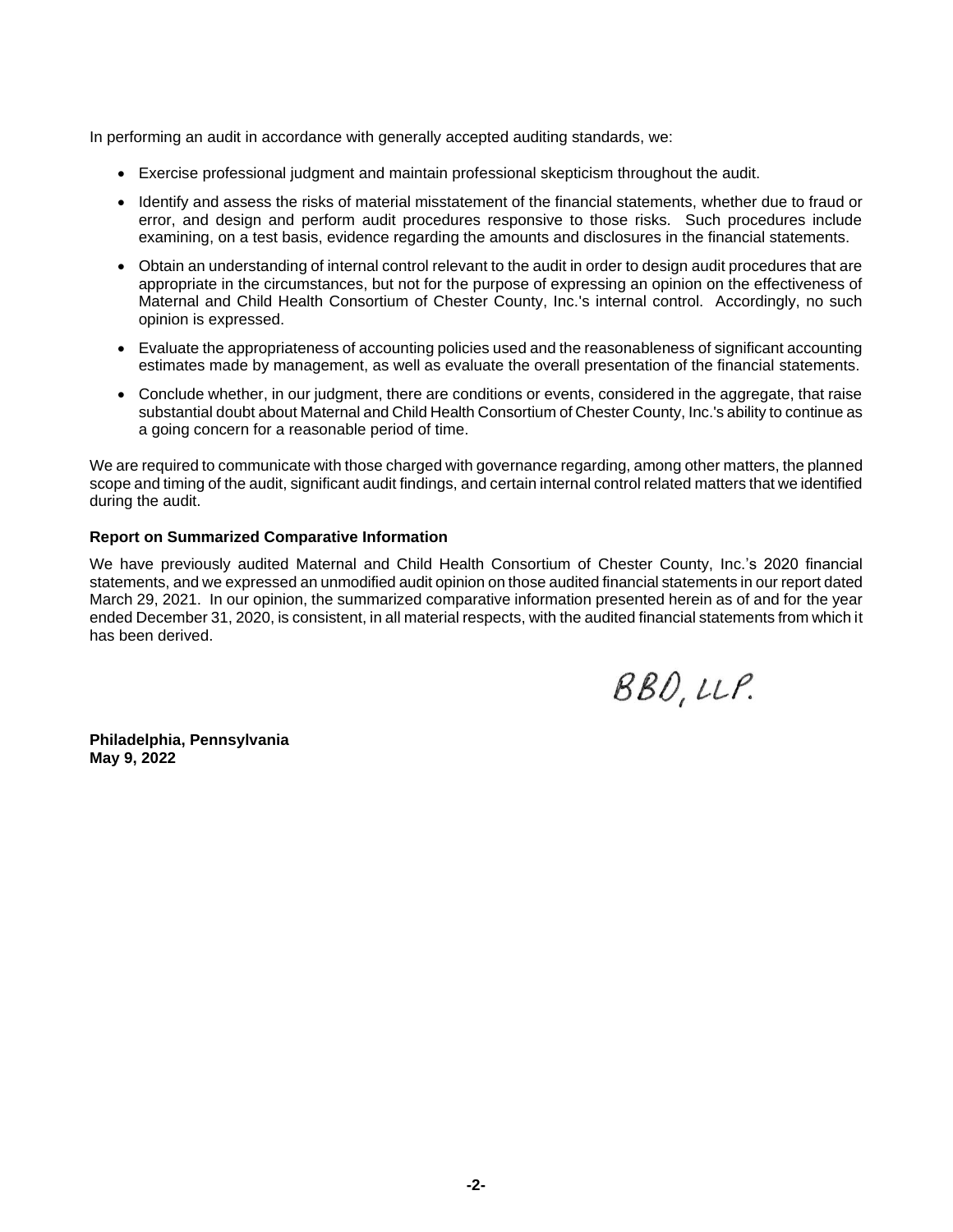In performing an audit in accordance with generally accepted auditing standards, we:

- Exercise professional judgment and maintain professional skepticism throughout the audit.
- Identify and assess the risks of material misstatement of the financial statements, whether due to fraud or error, and design and perform audit procedures responsive to those risks. Such procedures include examining, on a test basis, evidence regarding the amounts and disclosures in the financial statements.
- Obtain an understanding of internal control relevant to the audit in order to design audit procedures that are appropriate in the circumstances, but not for the purpose of expressing an opinion on the effectiveness of Maternal and Child Health Consortium of Chester County, Inc.'s internal control. Accordingly, no such opinion is expressed.
- Evaluate the appropriateness of accounting policies used and the reasonableness of significant accounting estimates made by management, as well as evaluate the overall presentation of the financial statements.
- Conclude whether, in our judgment, there are conditions or events, considered in the aggregate, that raise substantial doubt about Maternal and Child Health Consortium of Chester County, Inc.'s ability to continue as a going concern for a reasonable period of time.

We are required to communicate with those charged with governance regarding, among other matters, the planned scope and timing of the audit, significant audit findings, and certain internal control related matters that we identified during the audit.

#### **Report on Summarized Comparative Information**

We have previously audited Maternal and Child Health Consortium of Chester County, Inc.'s 2020 financial statements, and we expressed an unmodified audit opinion on those audited financial statements in our report dated March 29, 2021. In our opinion, the summarized comparative information presented herein as of and for the year ended December 31, 2020, is consistent, in all material respects, with the audited financial statements from which it has been derived.

 $BBO, UP.$ 

**Philadelphia, Pennsylvania May 9, 2022**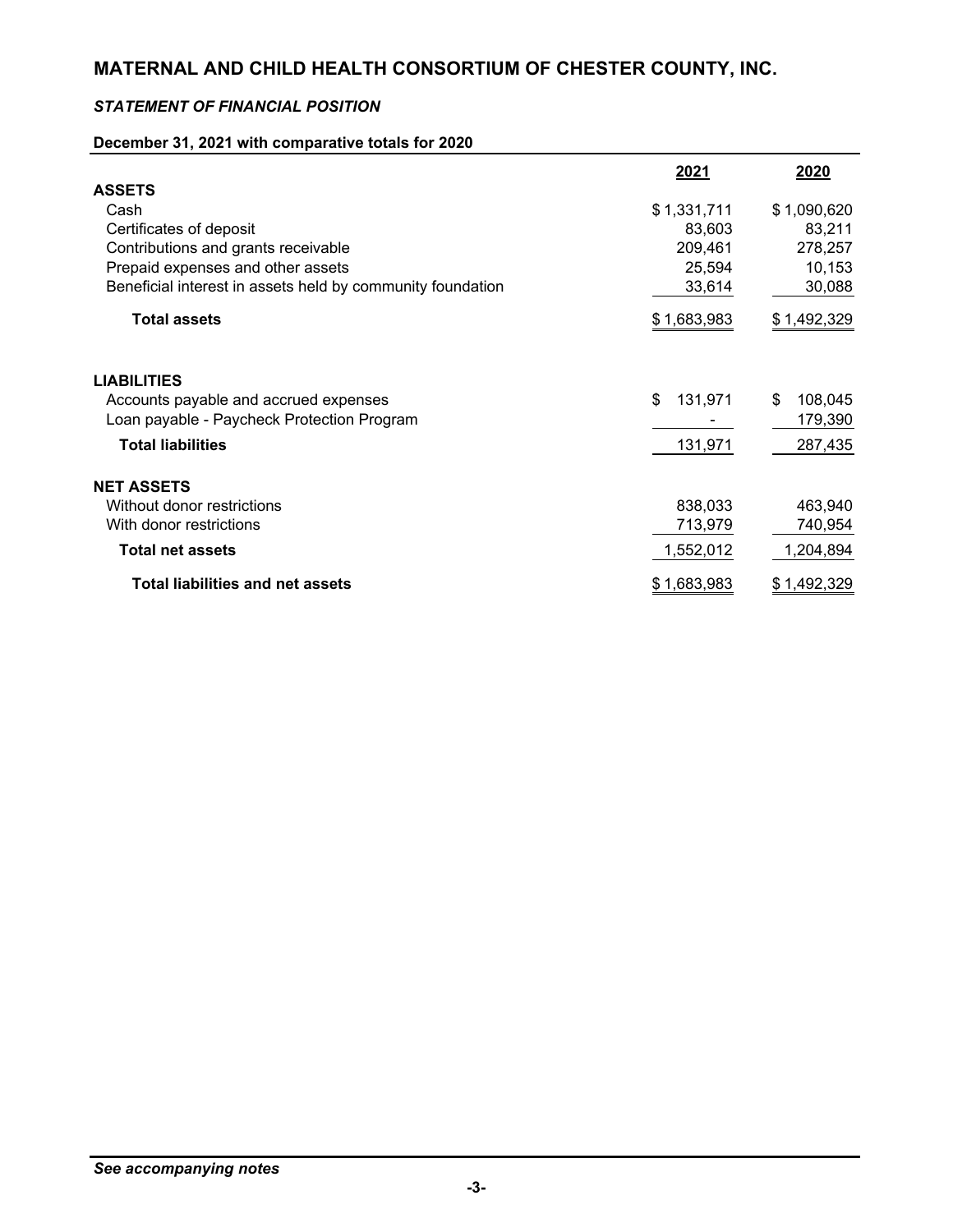### *STATEMENT OF FINANCIAL POSITION*

### **December 31, 2021 with comparative totals for 2020**

|                                                            | <u>2021</u>   | 2020          |
|------------------------------------------------------------|---------------|---------------|
| <b>ASSETS</b>                                              |               |               |
| Cash                                                       | \$1,331,711   | \$1,090,620   |
| Certificates of deposit                                    | 83,603        | 83,211        |
| Contributions and grants receivable                        | 209,461       | 278,257       |
| Prepaid expenses and other assets                          | 25,594        | 10,153        |
| Beneficial interest in assets held by community foundation | 33,614        | 30,088        |
| <b>Total assets</b>                                        | \$1,683,983   | \$1,492,329   |
| <b>LIABILITIES</b>                                         |               |               |
| Accounts payable and accrued expenses                      | \$<br>131,971 | 108,045<br>\$ |
| Loan payable - Paycheck Protection Program                 |               | 179,390       |
| <b>Total liabilities</b>                                   | 131,971       | 287,435       |
| <b>NET ASSETS</b>                                          |               |               |
| Without donor restrictions                                 | 838,033       | 463,940       |
| With donor restrictions                                    | 713,979       | 740,954       |
| <b>Total net assets</b>                                    | 1,552,012     | 1,204,894     |
| <b>Total liabilities and net assets</b>                    | \$1,683,983   | \$1,492,329   |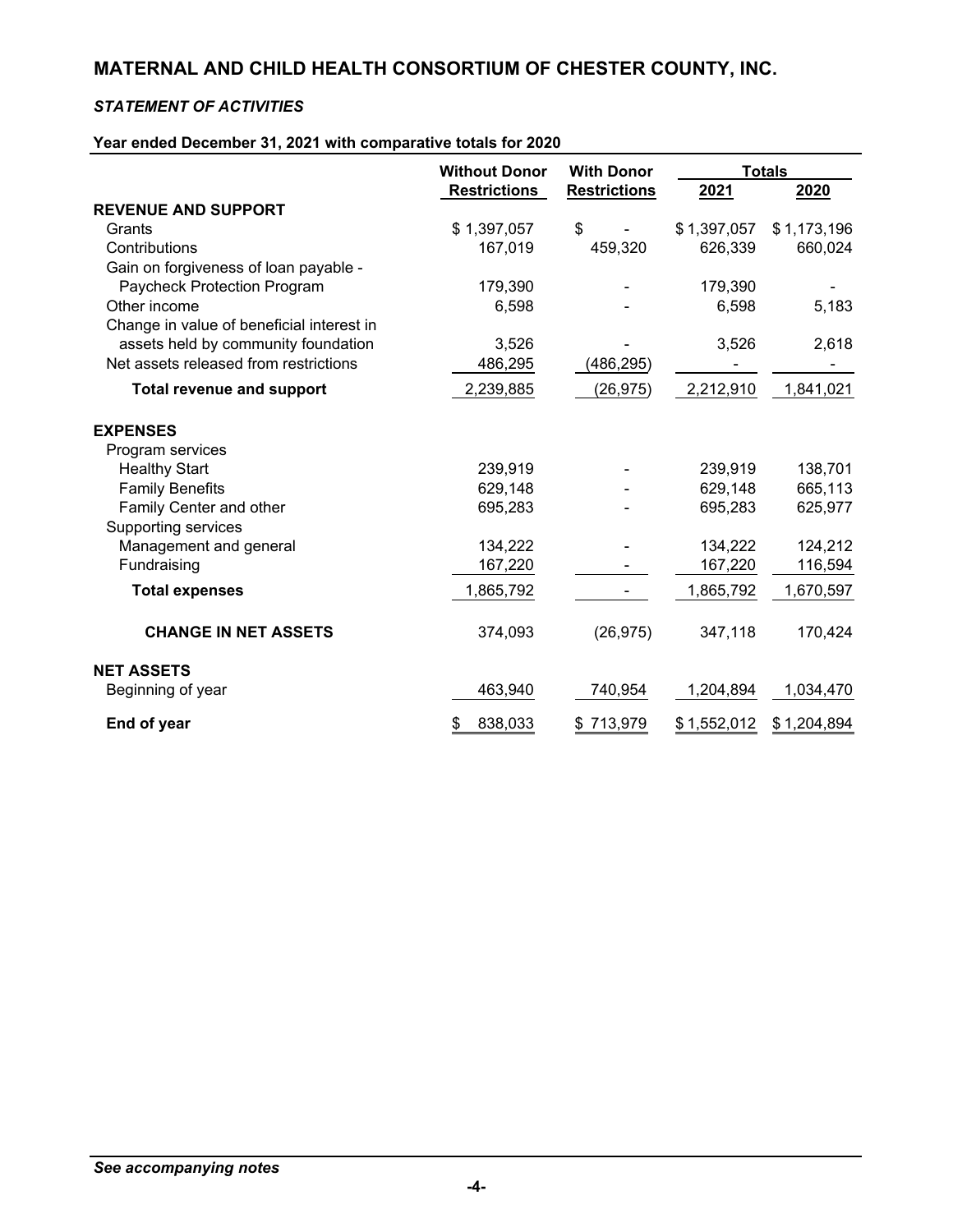### *STATEMENT OF ACTIVITIES*

### **Year ended December 31, 2021 with comparative totals for 2020**

|                                           | <b>Without Donor</b> | <b>With Donor</b>   | <b>Totals</b> |             |
|-------------------------------------------|----------------------|---------------------|---------------|-------------|
|                                           | <b>Restrictions</b>  | <b>Restrictions</b> | 2021          | 2020        |
| <b>REVENUE AND SUPPORT</b>                |                      |                     |               |             |
| Grants                                    | \$1,397,057          | \$                  | \$1,397,057   | \$1,173,196 |
| Contributions                             | 167,019              | 459,320             | 626,339       | 660,024     |
| Gain on forgiveness of loan payable -     |                      |                     |               |             |
| Paycheck Protection Program               | 179,390              |                     | 179,390       |             |
| Other income                              | 6,598                |                     | 6,598         | 5,183       |
| Change in value of beneficial interest in |                      |                     |               |             |
| assets held by community foundation       | 3,526                |                     | 3,526         | 2,618       |
| Net assets released from restrictions     | 486,295              | (486, 295)          |               |             |
| <b>Total revenue and support</b>          | 2,239,885            | (26, 975)           | 2,212,910     | 1,841,021   |
| <b>EXPENSES</b>                           |                      |                     |               |             |
| Program services                          |                      |                     |               |             |
| <b>Healthy Start</b>                      | 239,919              |                     | 239,919       | 138,701     |
| <b>Family Benefits</b>                    | 629,148              |                     | 629,148       | 665,113     |
| Family Center and other                   | 695,283              |                     | 695,283       | 625,977     |
| <b>Supporting services</b>                |                      |                     |               |             |
| Management and general                    | 134,222              |                     | 134,222       | 124,212     |
| Fundraising                               | 167,220              |                     | 167,220       | 116,594     |
| <b>Total expenses</b>                     | 1,865,792            |                     | 1,865,792     | 1,670,597   |
| <b>CHANGE IN NET ASSETS</b>               | 374,093              | (26, 975)           | 347,118       | 170,424     |
| <b>NET ASSETS</b>                         |                      |                     |               |             |
| Beginning of year                         | 463,940              | 740,954             | 1,204,894     | 1,034,470   |
| End of year                               | \$<br>838,033        | \$713,979           | \$1,552,012   | \$1,204,894 |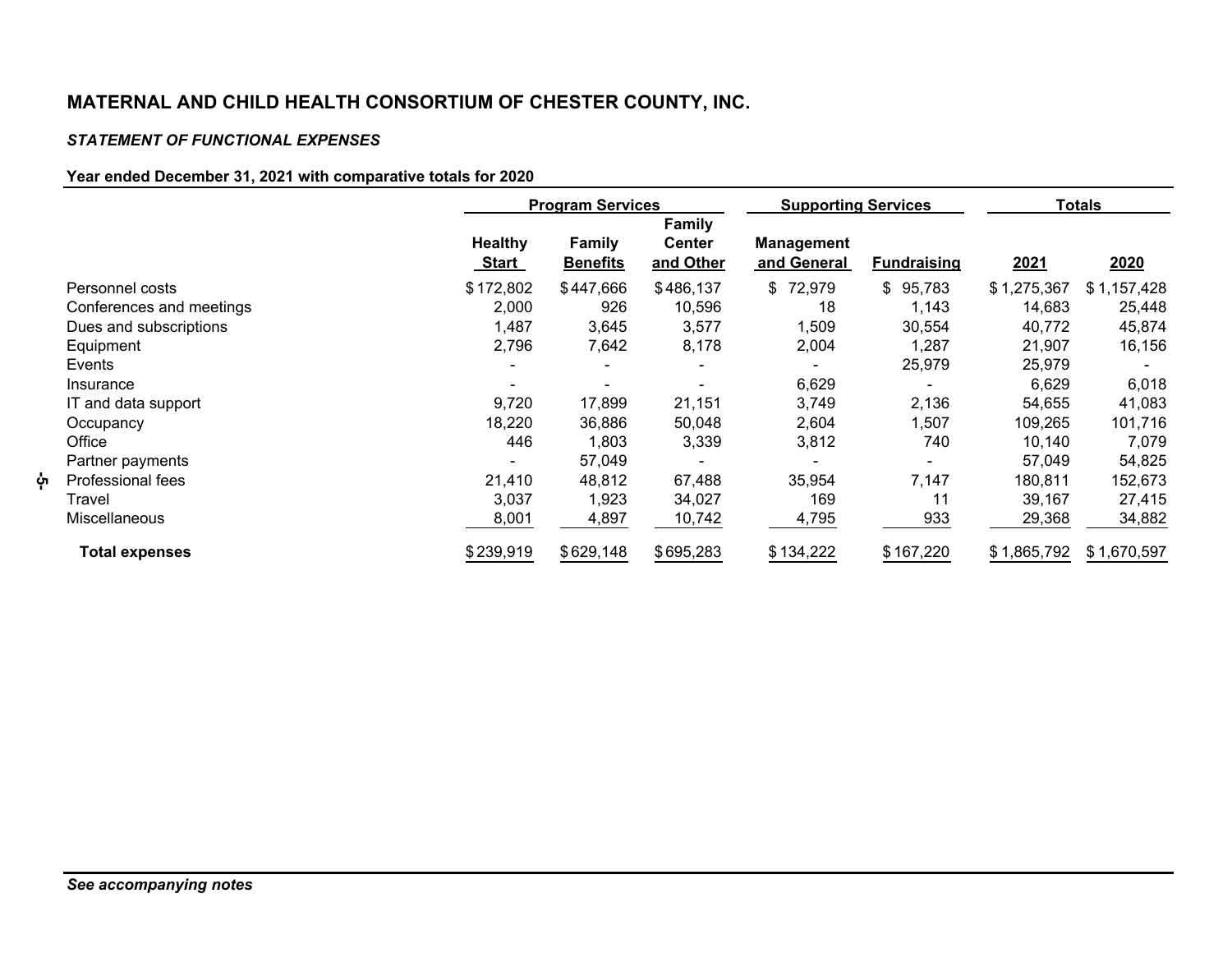### *STATEMENT OF FUNCTIONAL EXPENSES*

### **Year ended December 31, 2021 with comparative totals for 2020**

|                          |                                | <b>Program Services</b>   |                                             | <b>Supporting Services</b>       |                    | <b>Totals</b> |             |
|--------------------------|--------------------------------|---------------------------|---------------------------------------------|----------------------------------|--------------------|---------------|-------------|
|                          | <b>Healthy</b><br><u>Start</u> | Family<br><b>Benefits</b> | <b>Family</b><br><b>Center</b><br>and Other | <b>Management</b><br>and General | <b>Fundraising</b> | <u>2021</u>   | 2020        |
| Personnel costs          | \$172,802                      | \$447,666                 | \$486,137                                   | \$72,979                         | 95,783<br>\$       | \$1,275,367   | \$1,157,428 |
| Conferences and meetings | 2,000                          | 926                       | 10,596                                      | 18                               | 1.143              | 14,683        | 25,448      |
| Dues and subscriptions   | 1,487                          | 3,645                     | 3,577                                       | 1,509                            | 30,554             | 40,772        | 45,874      |
| Equipment                | 2,796                          | 7,642                     | 8,178                                       | 2,004                            | 1,287              | 21,907        | 16,156      |
| Events                   |                                |                           |                                             |                                  | 25,979             | 25,979        |             |
| Insurance                |                                |                           |                                             | 6,629                            |                    | 6,629         | 6,018       |
| IT and data support      | 9,720                          | 17,899                    | 21,151                                      | 3,749                            | 2,136              | 54,655        | 41,083      |
| Occupancy                | 18,220                         | 36,886                    | 50,048                                      | 2,604                            | 1,507              | 109,265       | 101,716     |
| Office                   | 446                            | 1,803                     | 3,339                                       | 3,812                            | 740                | 10,140        | 7,079       |
| Partner payments         |                                | 57,049                    |                                             |                                  |                    | 57,049        | 54,825      |
| Professional fees        | 21,410                         | 48,812                    | 67,488                                      | 35,954                           | 7,147              | 180,811       | 152,673     |
| Travel                   | 3,037                          | 1,923                     | 34,027                                      | 169                              | 11                 | 39,167        | 27,415      |
| <b>Miscellaneous</b>     | 8,001                          | 4,897                     | 10,742                                      | 4,795                            | 933                | 29,368        | 34,882      |
| <b>Total expenses</b>    | \$239,919                      | \$629,148                 | \$695,283                                   | \$134,222                        | \$167,220          | \$1,865,792   | \$1,670,597 |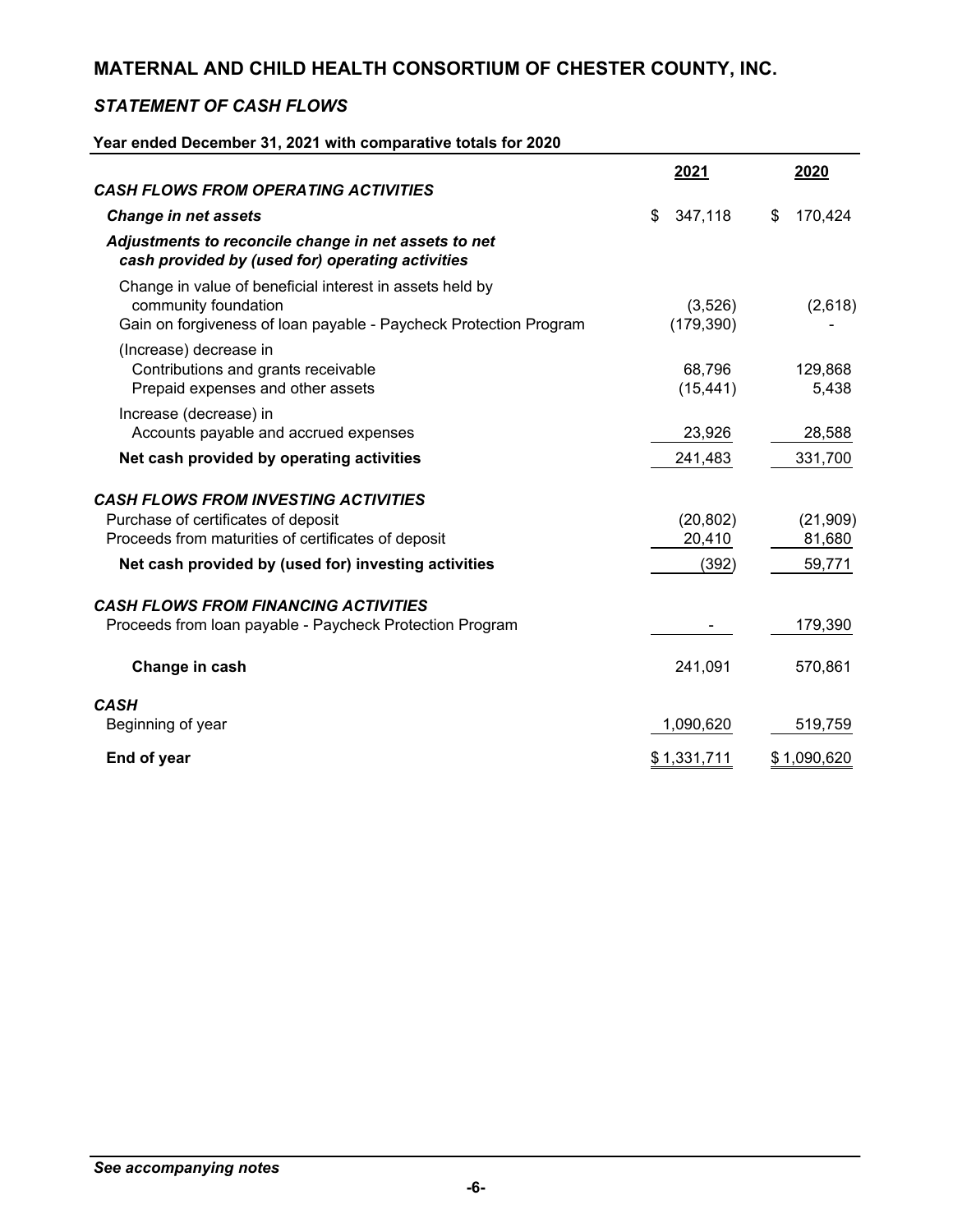### *STATEMENT OF CASH FLOWS*

### **Year ended December 31, 2021 with comparative totals for 2020**

|                                                                                                                                                       | 2021                  | 2020                |
|-------------------------------------------------------------------------------------------------------------------------------------------------------|-----------------------|---------------------|
| <b>CASH FLOWS FROM OPERATING ACTIVITIES</b>                                                                                                           |                       |                     |
| <b>Change in net assets</b>                                                                                                                           | \$<br>347,118         | \$<br>170,424       |
| Adjustments to reconcile change in net assets to net<br>cash provided by (used for) operating activities                                              |                       |                     |
| Change in value of beneficial interest in assets held by<br>community foundation<br>Gain on forgiveness of loan payable - Paycheck Protection Program | (3,526)<br>(179, 390) | (2,618)             |
| (Increase) decrease in<br>Contributions and grants receivable<br>Prepaid expenses and other assets                                                    | 68,796<br>(15, 441)   | 129,868<br>5,438    |
| Increase (decrease) in<br>Accounts payable and accrued expenses                                                                                       | 23,926                | 28,588              |
| Net cash provided by operating activities                                                                                                             | 241,483               | 331,700             |
| <b>CASH FLOWS FROM INVESTING ACTIVITIES</b><br>Purchase of certificates of deposit<br>Proceeds from maturities of certificates of deposit             | (20, 802)<br>20,410   | (21, 909)<br>81,680 |
| Net cash provided by (used for) investing activities                                                                                                  | (392)                 | 59,771              |
| <b>CASH FLOWS FROM FINANCING ACTIVITIES</b><br>Proceeds from Ioan payable - Paycheck Protection Program                                               |                       | 179,390             |
| Change in cash                                                                                                                                        | 241,091               | 570,861             |
| <b>CASH</b><br>Beginning of year                                                                                                                      | 1,090,620             | 519,759             |
| End of year                                                                                                                                           | \$1,331,711           | \$1,090,620         |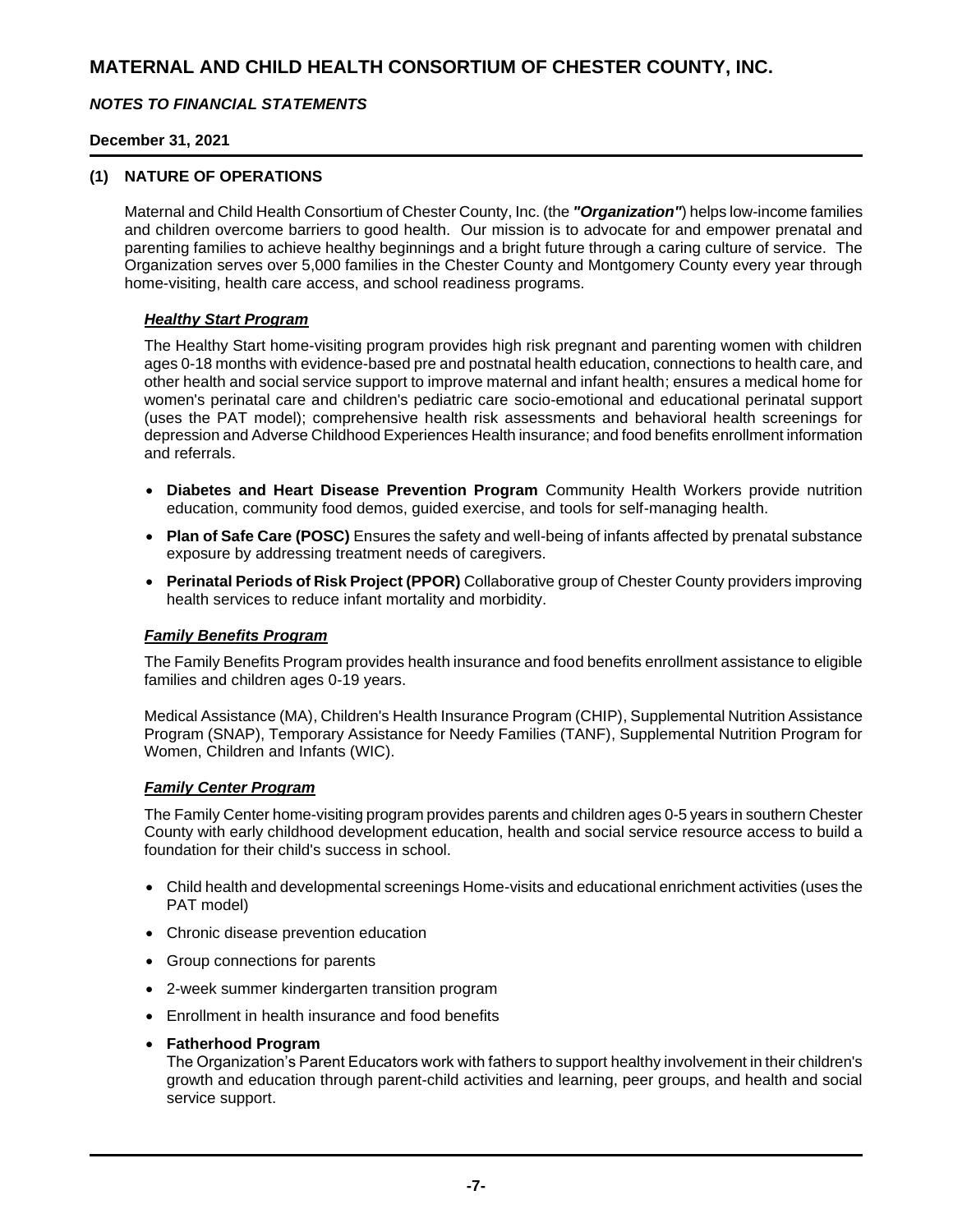### *NOTES TO FINANCIAL STATEMENTS*

### **December 31, 2021**

### **(1) NATURE OF OPERATIONS**

Maternal and Child Health Consortium of Chester County, Inc. (the *"Organization"*) helps low-income families and children overcome barriers to good health. Our mission is to advocate for and empower prenatal and parenting families to achieve healthy beginnings and a bright future through a caring culture of service. The Organization serves over 5,000 families in the Chester County and Montgomery County every year through home-visiting, health care access, and school readiness programs.

### *Healthy Start Program*

The Healthy Start home-visiting program provides high risk pregnant and parenting women with children ages 0-18 months with evidence-based pre and postnatal health education, connections to health care, and other health and social service support to improve maternal and infant health; ensures a medical home for women's perinatal care and children's pediatric care socio-emotional and educational perinatal support (uses the PAT model); comprehensive health risk assessments and behavioral health screenings for depression and Adverse Childhood Experiences Health insurance; and food benefits enrollment information and referrals.

- **Diabetes and Heart Disease Prevention Program** Community Health Workers provide nutrition education, community food demos, guided exercise, and tools for self-managing health.
- **Plan of Safe Care (POSC)** Ensures the safety and well-being of infants affected by prenatal substance exposure by addressing treatment needs of caregivers.
- **Perinatal Periods of Risk Project (PPOR)** Collaborative group of Chester County providers improving health services to reduce infant mortality and morbidity.

### *Family Benefits Program*

The Family Benefits Program provides health insurance and food benefits enrollment assistance to eligible families and children ages 0-19 years.

Medical Assistance (MA), Children's Health Insurance Program (CHIP), Supplemental Nutrition Assistance Program (SNAP), Temporary Assistance for Needy Families (TANF), Supplemental Nutrition Program for Women, Children and Infants (WIC).

### *Family Center Program*

The Family Center home-visiting program provides parents and children ages 0-5 years in southern Chester County with early childhood development education, health and social service resource access to build a foundation for their child's success in school.

- Child health and developmental screenings Home-visits and educational enrichment activities (uses the PAT model)
- Chronic disease prevention education
- Group connections for parents
- 2-week summer kindergarten transition program
- Enrollment in health insurance and food benefits
- **Fatherhood Program**

The Organization's Parent Educators work with fathers to support healthy involvement in their children's growth and education through parent-child activities and learning, peer groups, and health and social service support.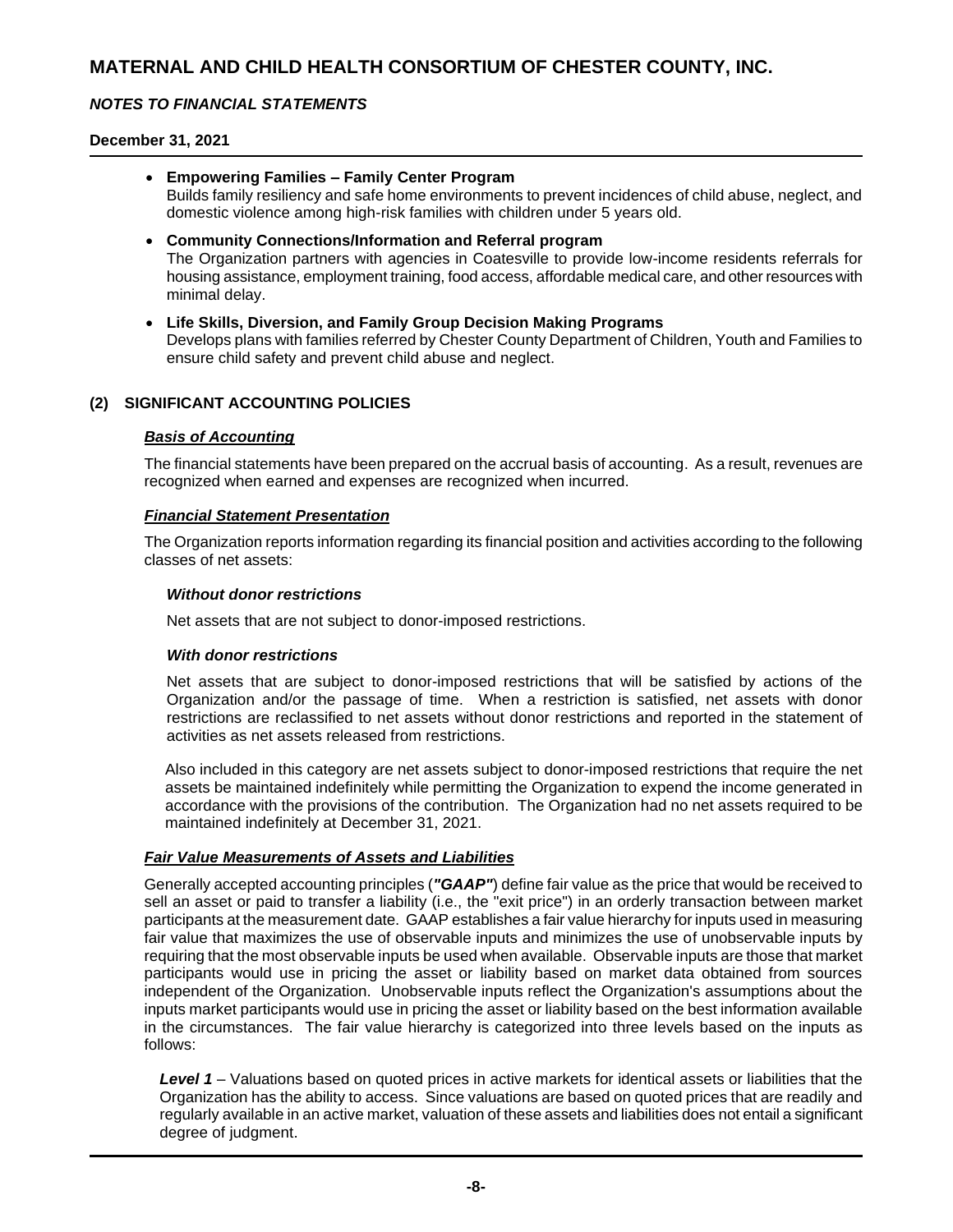### *NOTES TO FINANCIAL STATEMENTS*

### **December 31, 2021**

- **Empowering Families – Family Center Program** Builds family resiliency and safe home environments to prevent incidences of child abuse, neglect, and domestic violence among high-risk families with children under 5 years old. • **Community Connections/Information and Referral program**
- The Organization partners with agencies in Coatesville to provide low-income residents referrals for housing assistance, employment training, food access, affordable medical care, and other resources with minimal delay.
- **Life Skills, Diversion, and Family Group Decision Making Programs** Develops plans with families referred by Chester County Department of Children, Youth and Families to ensure child safety and prevent child abuse and neglect.

### **(2) SIGNIFICANT ACCOUNTING POLICIES**

### *Basis of Accounting*

The financial statements have been prepared on the accrual basis of accounting. As a result, revenues are recognized when earned and expenses are recognized when incurred.

### *Financial Statement Presentation*

The Organization reports information regarding its financial position and activities according to the following classes of net assets:

### *Without donor restrictions*

Net assets that are not subject to donor-imposed restrictions.

### *With donor restrictions*

Net assets that are subject to donor-imposed restrictions that will be satisfied by actions of the Organization and/or the passage of time. When a restriction is satisfied, net assets with donor restrictions are reclassified to net assets without donor restrictions and reported in the statement of activities as net assets released from restrictions.

Also included in this category are net assets subject to donor-imposed restrictions that require the net assets be maintained indefinitely while permitting the Organization to expend the income generated in accordance with the provisions of the contribution. The Organization had no net assets required to be maintained indefinitely at December 31, 2021.

### *Fair Value Measurements of Assets and Liabilities*

Generally accepted accounting principles (*"GAAP"*) define fair value as the price that would be received to sell an asset or paid to transfer a liability (i.e., the "exit price") in an orderly transaction between market participants at the measurement date. GAAP establishes a fair value hierarchy for inputs used in measuring fair value that maximizes the use of observable inputs and minimizes the use of unobservable inputs by requiring that the most observable inputs be used when available. Observable inputs are those that market participants would use in pricing the asset or liability based on market data obtained from sources independent of the Organization. Unobservable inputs reflect the Organization's assumptions about the inputs market participants would use in pricing the asset or liability based on the best information available in the circumstances. The fair value hierarchy is categorized into three levels based on the inputs as follows:

*Level 1* – Valuations based on quoted prices in active markets for identical assets or liabilities that the Organization has the ability to access. Since valuations are based on quoted prices that are readily and regularly available in an active market, valuation of these assets and liabilities does not entail a significant degree of judgment.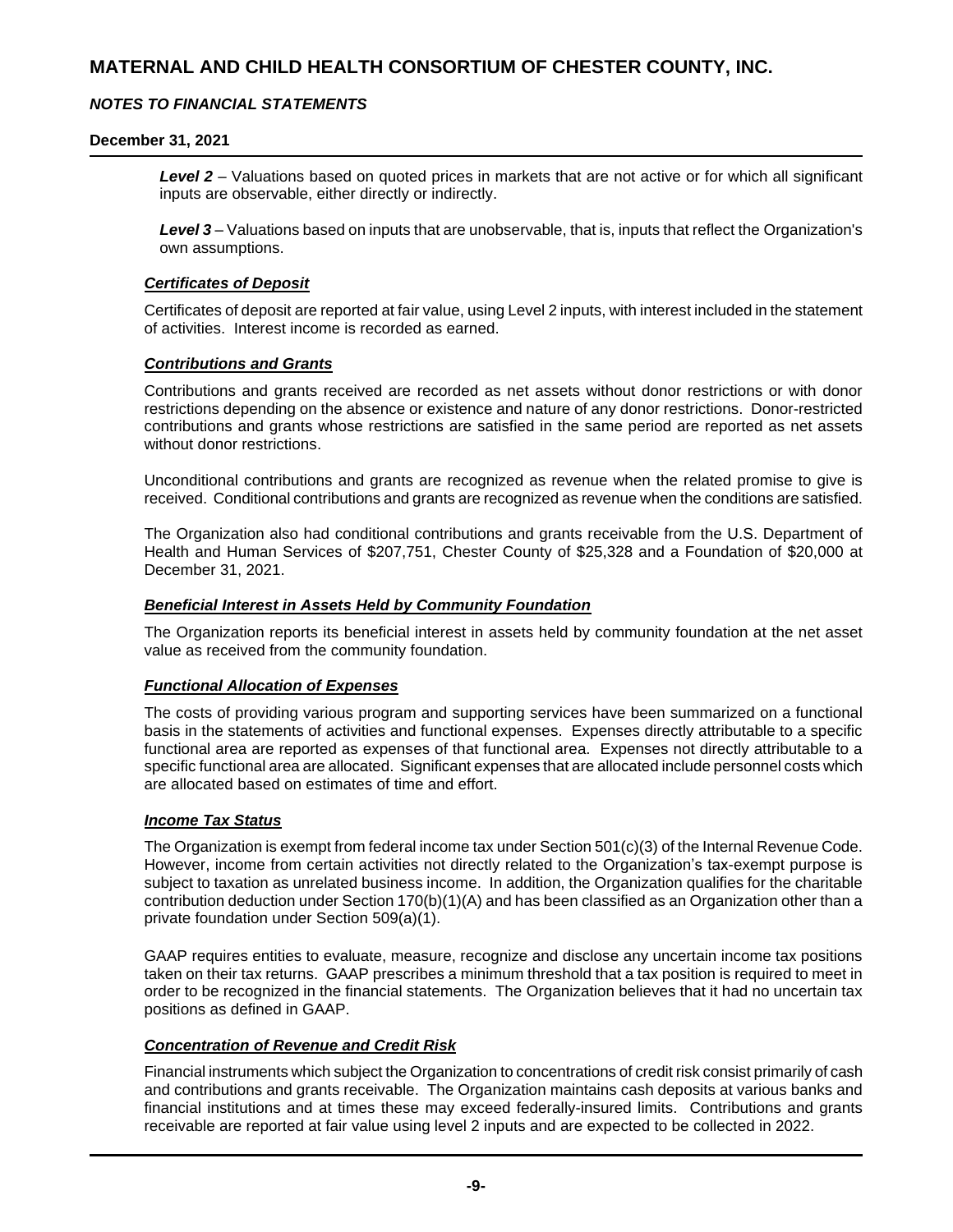### *NOTES TO FINANCIAL STATEMENTS*

### **December 31, 2021**

*Level 2* – Valuations based on quoted prices in markets that are not active or for which all significant inputs are observable, either directly or indirectly.

*Level 3* – Valuations based on inputs that are unobservable, that is, inputs that reflect the Organization's own assumptions.

#### *Certificates of Deposit*

Certificates of deposit are reported at fair value, using Level 2 inputs, with interest included in the statement of activities. Interest income is recorded as earned.

### *Contributions and Grants*

Contributions and grants received are recorded as net assets without donor restrictions or with donor restrictions depending on the absence or existence and nature of any donor restrictions. Donor-restricted contributions and grants whose restrictions are satisfied in the same period are reported as net assets without donor restrictions.

Unconditional contributions and grants are recognized as revenue when the related promise to give is received. Conditional contributions and grants are recognized as revenue when the conditions are satisfied.

The Organization also had conditional contributions and grants receivable from the U.S. Department of Health and Human Services of \$207,751, Chester County of \$25,328 and a Foundation of \$20,000 at December 31, 2021.

### *Beneficial Interest in Assets Held by Community Foundation*

The Organization reports its beneficial interest in assets held by community foundation at the net asset value as received from the community foundation.

### *Functional Allocation of Expenses*

The costs of providing various program and supporting services have been summarized on a functional basis in the statements of activities and functional expenses. Expenses directly attributable to a specific functional area are reported as expenses of that functional area. Expenses not directly attributable to a specific functional area are allocated. Significant expenses that are allocated include personnel costs which are allocated based on estimates of time and effort.

### *Income Tax Status*

The Organization is exempt from federal income tax under Section 501(c)(3) of the Internal Revenue Code. However, income from certain activities not directly related to the Organization's tax-exempt purpose is subject to taxation as unrelated business income. In addition, the Organization qualifies for the charitable contribution deduction under Section 170(b)(1)(A) and has been classified as an Organization other than a private foundation under Section 509(a)(1).

GAAP requires entities to evaluate, measure, recognize and disclose any uncertain income tax positions taken on their tax returns. GAAP prescribes a minimum threshold that a tax position is required to meet in order to be recognized in the financial statements. The Organization believes that it had no uncertain tax positions as defined in GAAP.

### *Concentration of Revenue and Credit Risk*

Financial instruments which subject the Organization to concentrations of credit risk consist primarily of cash and contributions and grants receivable. The Organization maintains cash deposits at various banks and financial institutions and at times these may exceed federally-insured limits. Contributions and grants receivable are reported at fair value using level 2 inputs and are expected to be collected in 2022.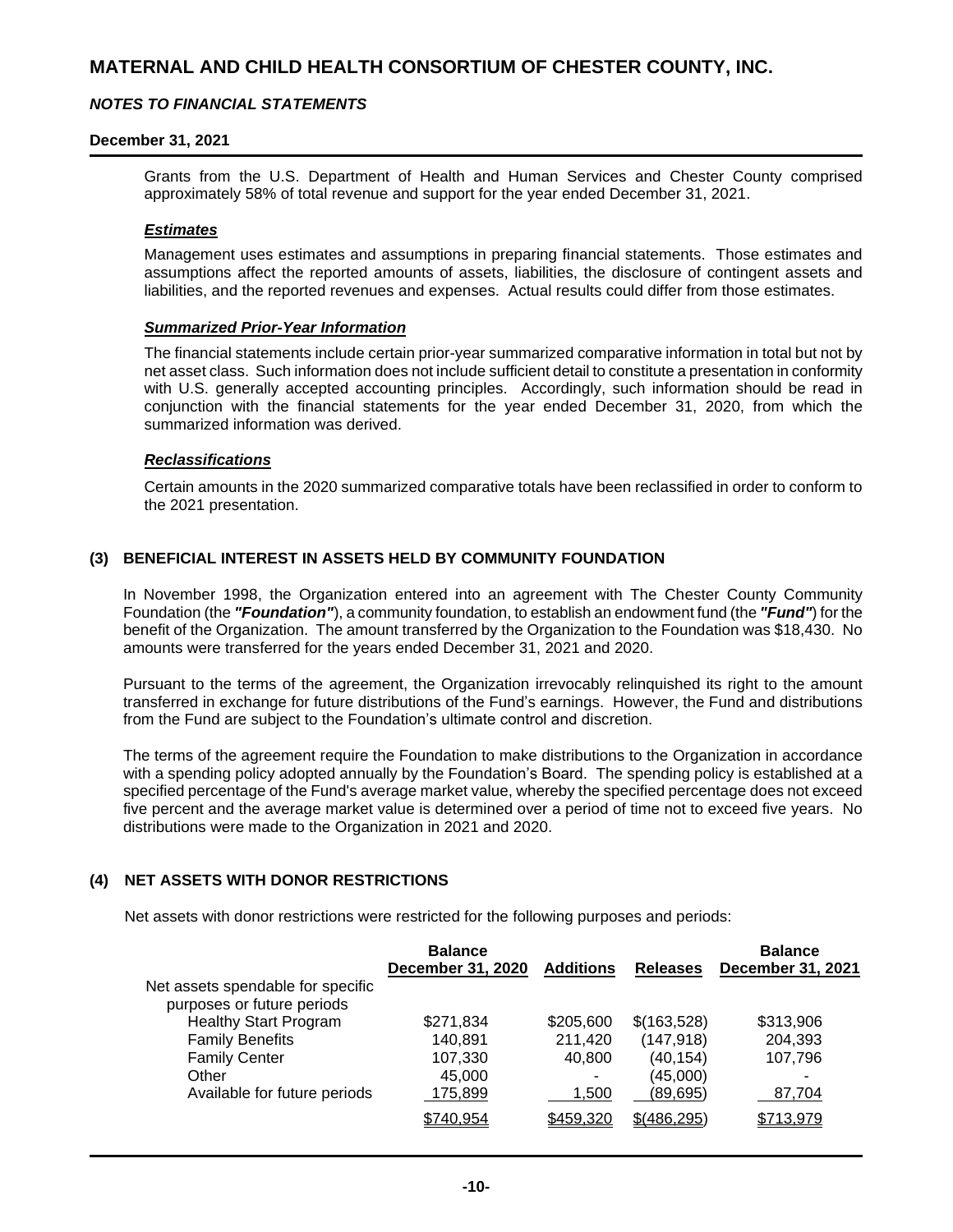### *NOTES TO FINANCIAL STATEMENTS*

### **December 31, 2021**

Grants from the U.S. Department of Health and Human Services and Chester County comprised approximately 58% of total revenue and support for the year ended December 31, 2021.

### *Estimates*

Management uses estimates and assumptions in preparing financial statements. Those estimates and assumptions affect the reported amounts of assets, liabilities, the disclosure of contingent assets and liabilities, and the reported revenues and expenses. Actual results could differ from those estimates.

#### *Summarized Prior-Year Information*

The financial statements include certain prior-year summarized comparative information in total but not by net asset class. Such information does not include sufficient detail to constitute a presentation in conformity with U.S. generally accepted accounting principles. Accordingly, such information should be read in conjunction with the financial statements for the year ended December 31, 2020, from which the summarized information was derived.

#### *Reclassifications*

Certain amounts in the 2020 summarized comparative totals have been reclassified in order to conform to the 2021 presentation.

### **(3) BENEFICIAL INTEREST IN ASSETS HELD BY COMMUNITY FOUNDATION**

In November 1998, the Organization entered into an agreement with The Chester County Community Foundation (the *"Foundation"*), a community foundation, to establish an endowment fund (the *"Fund"*) for the benefit of the Organization. The amount transferred by the Organization to the Foundation was \$18,430. No amounts were transferred for the years ended December 31, 2021 and 2020.

Pursuant to the terms of the agreement, the Organization irrevocably relinquished its right to the amount transferred in exchange for future distributions of the Fund's earnings. However, the Fund and distributions from the Fund are subject to the Foundation's ultimate control and discretion.

The terms of the agreement require the Foundation to make distributions to the Organization in accordance with a spending policy adopted annually by the Foundation's Board. The spending policy is established at a specified percentage of the Fund's average market value, whereby the specified percentage does not exceed five percent and the average market value is determined over a period of time not to exceed five years. No distributions were made to the Organization in 2021 and 2020.

### **(4) NET ASSETS WITH DONOR RESTRICTIONS**

Net assets with donor restrictions were restricted for the following purposes and periods:

|                                   | <b>Balance</b>    |                  |                 | <b>Balance</b>           |
|-----------------------------------|-------------------|------------------|-----------------|--------------------------|
|                                   | December 31, 2020 | <b>Additions</b> | <b>Releases</b> | <b>December 31, 2021</b> |
| Net assets spendable for specific |                   |                  |                 |                          |
| purposes or future periods        |                   |                  |                 |                          |
| <b>Healthy Start Program</b>      | \$271,834         | \$205,600        | \$(163,528)     | \$313,906                |
| <b>Family Benefits</b>            | 140,891           | 211,420          | (147, 918)      | 204,393                  |
| <b>Family Center</b>              | 107,330           | 40,800           | (40, 154)       | 107,796                  |
| Other                             | 45,000            | ۰                | (45,000)        |                          |
| Available for future periods      | 175,899           | 1,500            | (89, 695)       | 87,704                   |
|                                   | \$740,954         | \$459,320        | \$ (486, 295)   | \$713,979                |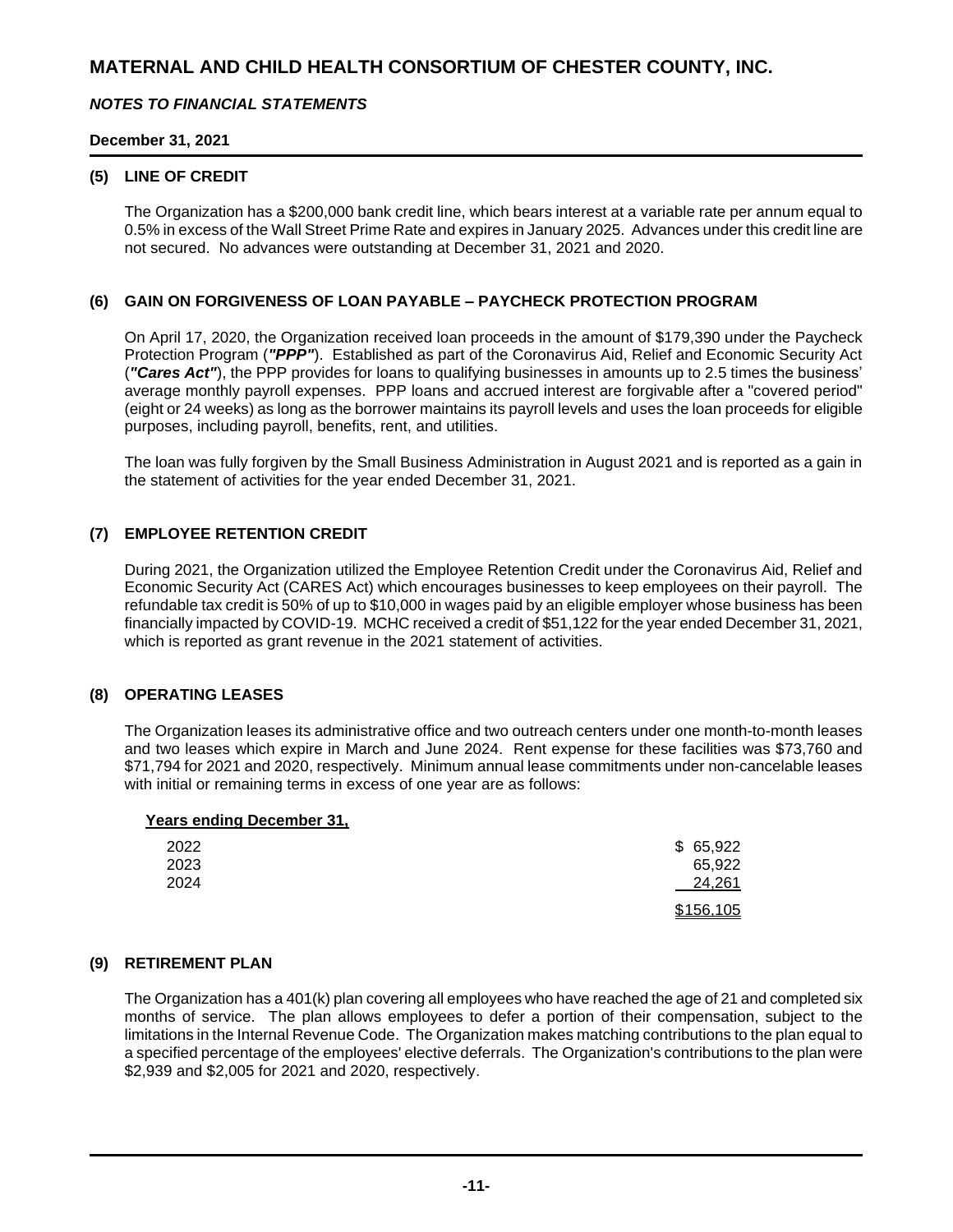### *NOTES TO FINANCIAL STATEMENTS*

### **December 31, 2021**

### **(5) LINE OF CREDIT**

The Organization has a \$200,000 bank credit line, which bears interest at a variable rate per annum equal to 0.5% in excess of the Wall Street Prime Rate and expires in January 2025. Advances under this credit line are not secured. No advances were outstanding at December 31, 2021 and 2020.

### **(6) GAIN ON FORGIVENESS OF LOAN PAYABLE – PAYCHECK PROTECTION PROGRAM**

On April 17, 2020, the Organization received loan proceeds in the amount of \$179,390 under the Paycheck Protection Program (*"PPP"*). Established as part of the Coronavirus Aid, Relief and Economic Security Act (*"Cares Act"*), the PPP provides for loans to qualifying businesses in amounts up to 2.5 times the business' average monthly payroll expenses. PPP loans and accrued interest are forgivable after a "covered period" (eight or 24 weeks) as long as the borrower maintains its payroll levels and uses the loan proceeds for eligible purposes, including payroll, benefits, rent, and utilities.

The loan was fully forgiven by the Small Business Administration in August 2021 and is reported as a gain in the statement of activities for the year ended December 31, 2021.

### **(7) EMPLOYEE RETENTION CREDIT**

During 2021, the Organization utilized the Employee Retention Credit under the Coronavirus Aid, Relief and Economic Security Act (CARES Act) which encourages businesses to keep employees on their payroll. The refundable tax credit is 50% of up to \$10,000 in wages paid by an eligible employer whose business has been financially impacted by COVID-19. MCHC received a credit of \$51,122 for the year ended December 31, 2021, which is reported as grant revenue in the 2021 statement of activities.

### **(8) OPERATING LEASES**

The Organization leases its administrative office and two outreach centers under one month-to-month leases and two leases which expire in March and June 2024. Rent expense for these facilities was \$73,760 and \$71,794 for 2021 and 2020, respectively. Minimum annual lease commitments under non-cancelable leases with initial or remaining terms in excess of one year are as follows:

### **Years ending December 31,**

| 2022 | \$65,922  |
|------|-----------|
| 2023 | 65,922    |
| 2024 | 24,261    |
|      | \$156,105 |

### **(9) RETIREMENT PLAN**

The Organization has a 401(k) plan covering all employees who have reached the age of 21 and completed six months of service. The plan allows employees to defer a portion of their compensation, subject to the limitations in the Internal Revenue Code. The Organization makes matching contributions to the plan equal to a specified percentage of the employees' elective deferrals. The Organization's contributions to the plan were \$2,939 and \$2,005 for 2021 and 2020, respectively.